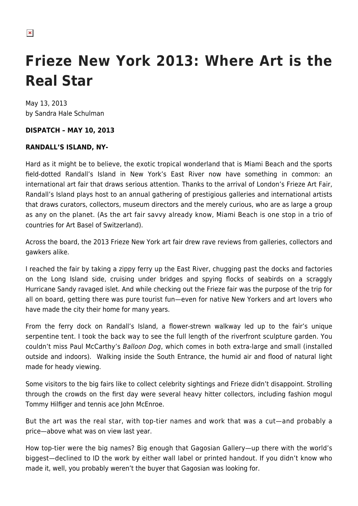$\pmb{\times}$ 

# **Frieze New York 2013: Where Art is the Real Star**

May 13, 2013 by Sandra Hale Schulman

#### **DISPATCH – MAY 10, 2013**

#### **RANDALL'S ISLAND, NY-**

Hard as it might be to believe, the exotic tropical wonderland that is Miami Beach and the sports field-dotted Randall's Island in New York's East River now have something in common: an international art fair that draws serious attention. Thanks to the arrival of London's Frieze Art Fair, Randall's Island plays host to an annual gathering of prestigious galleries and international artists that draws curators, collectors, museum directors and the merely curious, who are as large a group as any on the planet. (As the art fair savvy already know, Miami Beach is one stop in a trio of countries for Art Basel of Switzerland).

Across the board, the 2013 Frieze New York art fair drew rave reviews from galleries, collectors and gawkers alike.

I reached the fair by taking a zippy ferry up the East River, chugging past the docks and factories on the Long Island side, cruising under bridges and spying flocks of seabirds on a scraggly Hurricane Sandy ravaged islet. And while checking out the Frieze fair was the purpose of the trip for all on board, getting there was pure tourist fun—even for native New Yorkers and art lovers who have made the city their home for many years.

From the ferry dock on Randall's Island, a flower-strewn walkway led up to the fair's unique serpentine tent. I took the back way to see the full length of the riverfront sculpture garden. You couldn't miss Paul McCarthy's Balloon Dog, which comes in both extra-large and small (installed outside and indoors). Walking inside the South Entrance, the humid air and flood of natural light made for heady viewing.

Some visitors to the big fairs like to collect celebrity sightings and Frieze didn't disappoint. Strolling through the crowds on the first day were several heavy hitter collectors, including fashion mogul Tommy Hilfiger and tennis ace John McEnroe.

But the art was the real star, with top-tier names and work that was a cut—and probably a price—above what was on view last year.

How top-tier were the big names? Big enough that Gagosian Gallery—up there with the world's biggest—declined to ID the work by either wall label or printed handout. If you didn't know who made it, well, you probably weren't the buyer that Gagosian was looking for.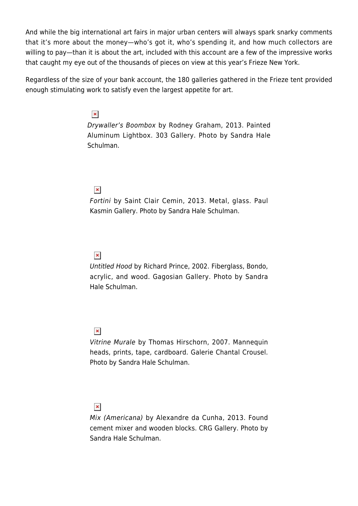And while the big international art fairs in major urban centers will always spark snarky comments that it's more about the money—who's got it, who's spending it, and how much collectors are willing to pay—than it is about the art, included with this account are a few of the impressive works that caught my eye out of the thousands of pieces on view at this year's Frieze New York.

Regardless of the size of your bank account, the 180 galleries gathered in the Frieze tent provided enough stimulating work to satisfy even the largest appetite for art.

# $\pmb{\times}$

Drywaller's Boombox by Rodney Graham, 2013. Painted Aluminum Lightbox. 303 Gallery. Photo by Sandra Hale Schulman.

## $\pmb{\times}$

Fortini by Saint Clair Cemin, 2013. Metal, glass. Paul Kasmin Gallery. Photo by Sandra Hale Schulman.

## $\pmb{\times}$

Untitled Hood by Richard Prince, 2002. Fiberglass, Bondo, acrylic, and wood. Gagosian Gallery. Photo by Sandra Hale Schulman.

## $\pmb{\times}$

Vitrine Murale by Thomas Hirschorn, 2007. Mannequin heads, prints, tape, cardboard. Galerie Chantal Crousel. Photo by Sandra Hale Schulman.

# $\pmb{\times}$

Mix (Americana) by Alexandre da Cunha, 2013. Found cement mixer and wooden blocks. CRG Gallery. Photo by Sandra Hale Schulman.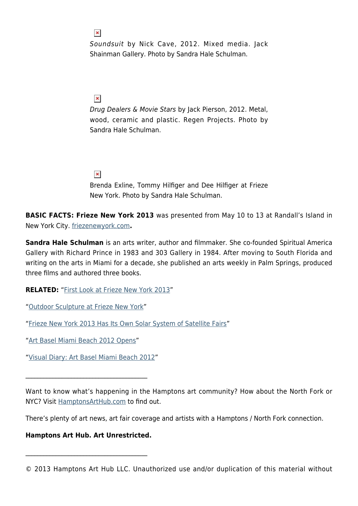$\pmb{\times}$ 

Soundsuit by Nick Cave, 2012. Mixed media. Jack Shainman Gallery. Photo by Sandra Hale Schulman.

## $\pmb{\times}$

Drug Dealers & Movie Stars by Jack Pierson, 2012. Metal, wood, ceramic and plastic. Regen Projects. Photo by Sandra Hale Schulman.

## $\pmb{\times}$

Brenda Exline, Tommy Hilfiger and Dee Hilfiger at Frieze New York. Photo by Sandra Hale Schulman.

**BASIC FACTS: Frieze New York 2013** was presented from May 10 to 13 at Randall's Island in New York City. [friezenewyork.com](http://friezenewyork.com/news/frieze-new-york-2013/)**.**

**Sandra Hale Schulman** is an arts writer, author and filmmaker. She co-founded Spiritual America Gallery with Richard Prince in 1983 and 303 Gallery in 1984. After moving to South Florida and writing on the arts in Miami for a decade, she published an arts weekly in Palm Springs, produced three films and authored three books.

**RELATED:** "[First Look at Frieze New York 2013"](https://hamptonsarthub.com/2013/05/09/first-look-at-frieze-new-york-2013/)

"[Outdoor Sculpture at Frieze New York"](https://hamptonsarthub.com/2013/05/09/outdoor-sculpture-at-frieze-new-york/)

"[Frieze New York 2013 Has Its Own Solar System of Satellite Fairs"](https://hamptonsarthub.com/2013/05/09/frieze-new-york-2013-has-its-own-solar-system-of-satellite-fairs/)

"[Art Basel Miami Beach 2012 Opens](https://hamptonsarthub.com/2012/12/05/art-basel-miami-beach-2012-opens/)"

"[Visual Diary: Art Basel Miami Beach 2012"](https://hamptonsarthub.com/2012/12/12/visual-diary-art-basel-miami-beach-2012/)

 $\mathcal{L}_\text{max}$  and  $\mathcal{L}_\text{max}$  and  $\mathcal{L}_\text{max}$  and  $\mathcal{L}_\text{max}$ 

Want to know what's happening in the Hamptons art community? How about the North Fork or NYC? Visit [HamptonsArtHub.com](https://hamptonsarthub.com/) to find out.

There's plenty of art news, art fair coverage and artists with a Hamptons / North Fork connection.

#### **Hamptons Art Hub. Art Unrestricted.**

 $\mathcal{L}_\text{max}$  and  $\mathcal{L}_\text{max}$  and  $\mathcal{L}_\text{max}$  and  $\mathcal{L}_\text{max}$ 

<sup>© 2013</sup> Hamptons Art Hub LLC. Unauthorized use and/or duplication of this material without